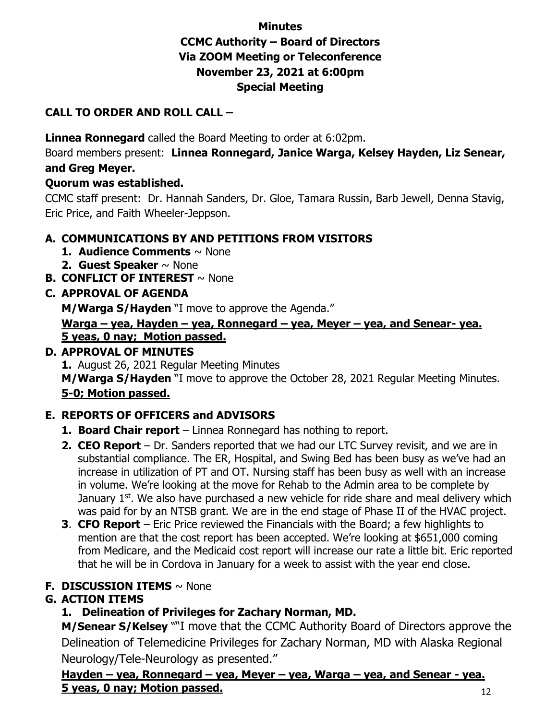# **Minutes CCMC Authority – Board of Directors Via ZOOM Meeting or Teleconference November 23, 2021 at 6:00pm Special Meeting**

### **CALL TO ORDER AND ROLL CALL –**

**Linnea Ronnegard** called the Board Meeting to order at 6:02pm.

Board members present: **Linnea Ronnegard, Janice Warga, Kelsey Hayden, Liz Senear, and Greg Meyer.** 

### **Quorum was established.**

CCMC staff present: Dr. Hannah Sanders, Dr. Gloe, Tamara Russin, Barb Jewell, Denna Stavig, Eric Price, and Faith Wheeler-Jeppson.

## **A. COMMUNICATIONS BY AND PETITIONS FROM VISITORS**

- **1. Audience Comments** ~ None
- **2. Guest Speaker** ~ None
- **B. CONFLICT OF INTEREST** ~ None

## **C. APPROVAL OF AGENDA**

**M/Warga S/Hayden** "I move to approve the Agenda."

**Warga – yea, Hayden – yea, Ronnegard – yea, Meyer – yea, and Senear- yea. 5 yeas, 0 nay; Motion passed.** 

## **D. APPROVAL OF MINUTES**

**1.** August 26, 2021 Regular Meeting Minutes **M/Warga S/Hayden** "I move to approve the October 28, 2021 Regular Meeting Minutes. **5-0; Motion passed.**

## **E. REPORTS OF OFFICERS and ADVISORS**

- **1. Board Chair report** Linnea Ronnegard has nothing to report.
- **2. CEO Report** Dr. Sanders reported that we had our LTC Survey revisit, and we are in substantial compliance. The ER, Hospital, and Swing Bed has been busy as we've had an increase in utilization of PT and OT. Nursing staff has been busy as well with an increase in volume. We're looking at the move for Rehab to the Admin area to be complete by January 1<sup>st</sup>. We also have purchased a new vehicle for ride share and meal delivery which was paid for by an NTSB grant. We are in the end stage of Phase II of the HVAC project.
- **3**. **CFO Report** Eric Price reviewed the Financials with the Board; a few highlights to mention are that the cost report has been accepted. We're looking at \$651,000 coming from Medicare, and the Medicaid cost report will increase our rate a little bit. Eric reported that he will be in Cordova in January for a week to assist with the year end close.

## **F. DISCUSSION ITEMS** ~ None

## **G. ACTION ITEMS**

## **1. Delineation of Privileges for Zachary Norman, MD.**

**M/Senear S/Kelsey** ""I move that the CCMC Authority Board of Directors approve the Delineation of Telemedicine Privileges for Zachary Norman, MD with Alaska Regional Neurology/Tele-Neurology as presented."

#### **Hayden – yea, Ronnegard – yea, Meyer – yea, Warga – yea, and Senear - yea. 5 yeas, 0 nay; Motion passed.**